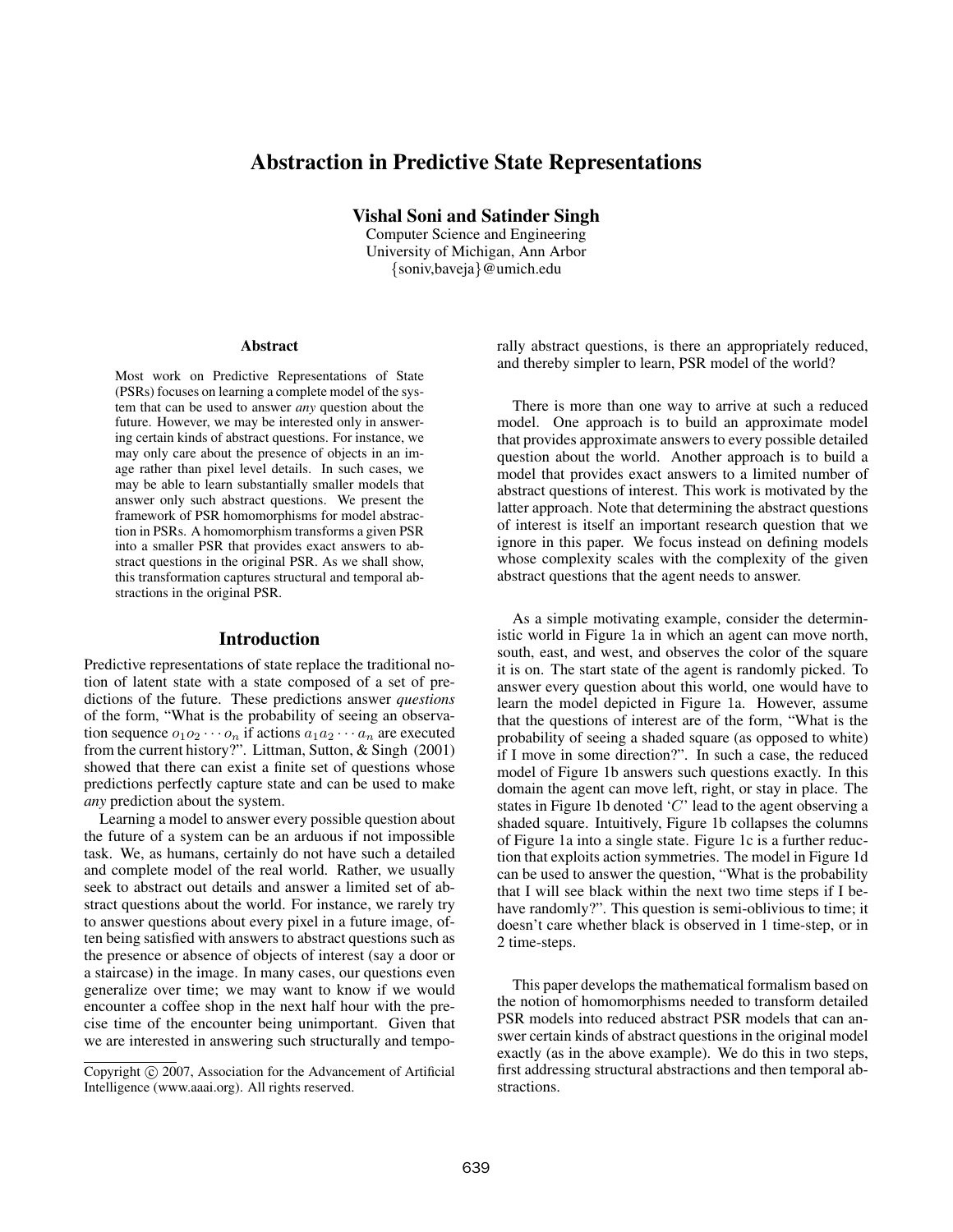# Abstraction in Predictive State Representations

Vishal Soni and Satinder Singh

Computer Science and Engineering University of Michigan, Ann Arbor {soniv,baveja}@umich.edu

#### Abstract

Most work on Predictive Representations of State (PSRs) focuses on learning a complete model of the system that can be used to answer *any* question about the future. However, we may be interested only in answering certain kinds of abstract questions. For instance, we may only care about the presence of objects in an image rather than pixel level details. In such cases, we may be able to learn substantially smaller models that answer only such abstract questions. We present the framework of PSR homomorphisms for model abstraction in PSRs. A homomorphism transforms a given PSR into a smaller PSR that provides exact answers to abstract questions in the original PSR. As we shall show, this transformation captures structural and temporal abstractions in the original PSR.

### Introduction

Predictive representations of state replace the traditional notion of latent state with a state composed of a set of predictions of the future. These predictions answer *questions* of the form, "What is the probability of seeing an observation sequence  $o_1 o_2 \cdots o_n$  if actions  $a_1 a_2 \cdots a_n$  are executed from the current history?". Littman, Sutton, & Singh (2001) showed that there can exist a finite set of questions whose predictions perfectly capture state and can be used to make *any* prediction about the system.

Learning a model to answer every possible question about the future of a system can be an arduous if not impossible task. We, as humans, certainly do not have such a detailed and complete model of the real world. Rather, we usually seek to abstract out details and answer a limited set of abstract questions about the world. For instance, we rarely try to answer questions about every pixel in a future image, often being satisfied with answers to abstract questions such as the presence or absence of objects of interest (say a door or a staircase) in the image. In many cases, our questions even generalize over time; we may want to know if we would encounter a coffee shop in the next half hour with the precise time of the encounter being unimportant. Given that we are interested in answering such structurally and temporally abstract questions, is there an appropriately reduced, and thereby simpler to learn, PSR model of the world?

There is more than one way to arrive at such a reduced model. One approach is to build an approximate model that provides approximate answers to every possible detailed question about the world. Another approach is to build a model that provides exact answers to a limited number of abstract questions of interest. This work is motivated by the latter approach. Note that determining the abstract questions of interest is itself an important research question that we ignore in this paper. We focus instead on defining models whose complexity scales with the complexity of the given abstract questions that the agent needs to answer.

As a simple motivating example, consider the deterministic world in Figure 1a in which an agent can move north, south, east, and west, and observes the color of the square it is on. The start state of the agent is randomly picked. To answer every question about this world, one would have to learn the model depicted in Figure 1a. However, assume that the questions of interest are of the form, "What is the probability of seeing a shaded square (as opposed to white) if I move in some direction?". In such a case, the reduced model of Figure 1b answers such questions exactly. In this domain the agent can move left, right, or stay in place. The states in Figure 1b denoted  $C'$  lead to the agent observing a shaded square. Intuitively, Figure 1b collapses the columns of Figure 1a into a single state. Figure 1c is a further reduction that exploits action symmetries. The model in Figure 1d can be used to answer the question, "What is the probability that I will see black within the next two time steps if I behave randomly?". This question is semi-oblivious to time; it doesn't care whether black is observed in 1 time-step, or in 2 time-steps.

This paper develops the mathematical formalism based on the notion of homomorphisms needed to transform detailed PSR models into reduced abstract PSR models that can answer certain kinds of abstract questions in the original model exactly (as in the above example). We do this in two steps, first addressing structural abstractions and then temporal abstractions.

Copyright  $\odot$  2007, Association for the Advancement of Artificial Intelligence (www.aaai.org). All rights reserved.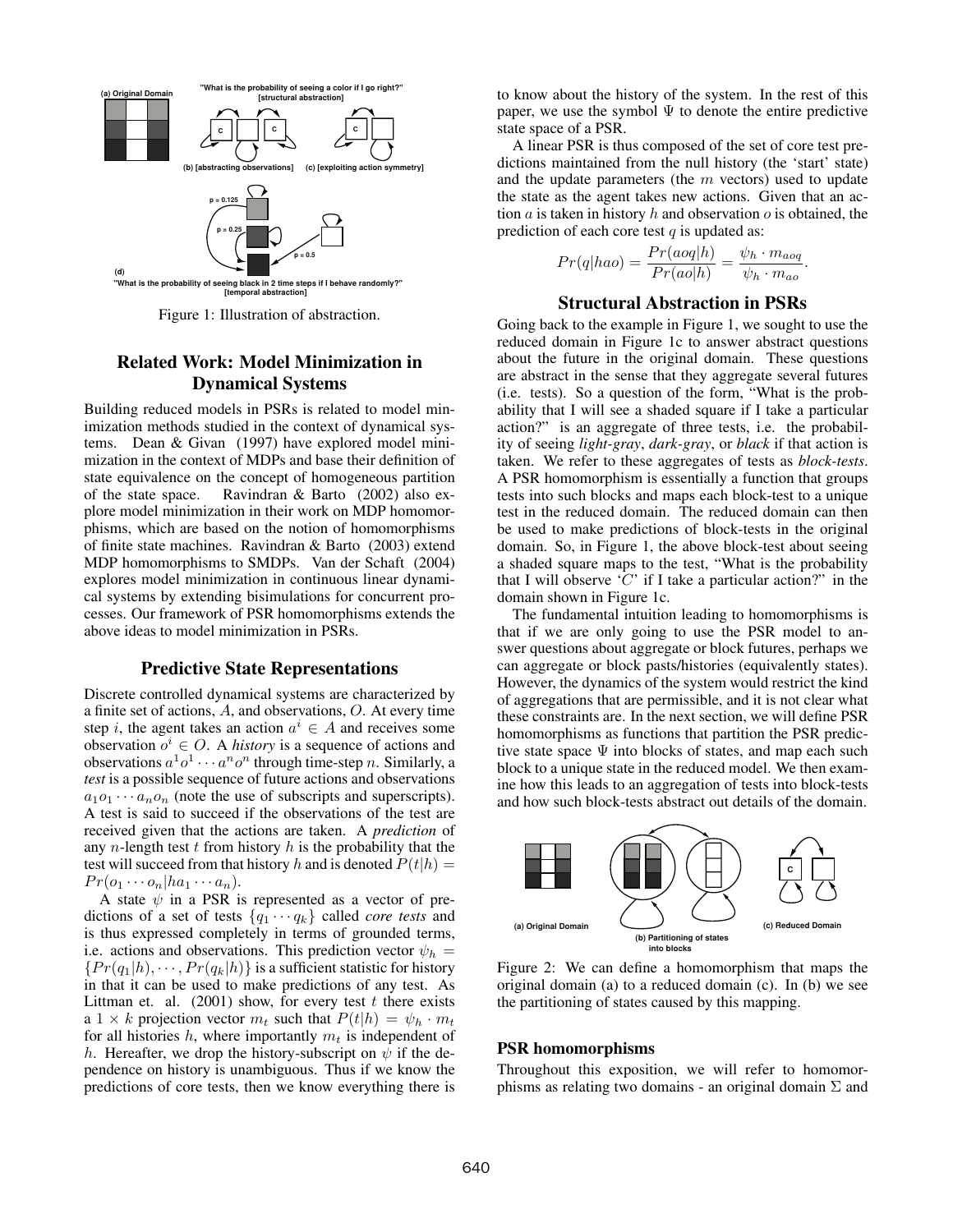

Figure 1: Illustration of abstraction.

# Related Work: Model Minimization in Dynamical Systems

Building reduced models in PSRs is related to model minimization methods studied in the context of dynamical systems. Dean & Givan (1997) have explored model minimization in the context of MDPs and base their definition of state equivalence on the concept of homogeneous partition of the state space. Ravindran & Barto (2002) also explore model minimization in their work on MDP homomorphisms, which are based on the notion of homomorphisms of finite state machines. Ravindran & Barto (2003) extend MDP homomorphisms to SMDPs. Van der Schaft (2004) explores model minimization in continuous linear dynamical systems by extending bisimulations for concurrent processes. Our framework of PSR homomorphisms extends the above ideas to model minimization in PSRs.

### Predictive State Representations

Discrete controlled dynamical systems are characterized by a finite set of actions, A, and observations, O. At every time step i, the agent takes an action  $a^i \in A$  and receives some observation  $o^i \in O$ . A *history* is a sequence of actions and observations  $a^1o^1 \cdots a^n o^n$  through time-step n. Similarly, a *test* is a possible sequence of future actions and observations  $a_1o_1 \cdots a_n o_n$  (note the use of subscripts and superscripts). A test is said to succeed if the observations of the test are received given that the actions are taken. A *prediction* of any *n*-length test  $t$  from history  $h$  is the probability that the test will succeed from that history h and is denoted  $P(t|h) =$  $Pr(o_1 \cdots o_n | ha_1 \cdots a_n).$ 

A state  $\psi$  in a PSR is represented as a vector of predictions of a set of tests  $\{q_1 \cdots q_k\}$  called *core tests* and is thus expressed completely in terms of grounded terms, i.e. actions and observations. This prediction vector  $\psi_h$  =  ${P(r(q_1|h), \dots, Pr(q_k|h)}$  is a sufficient statistic for history in that it can be used to make predictions of any test. As Littman et. al.  $(2001)$  show, for every test t there exists a 1 × k projection vector  $m_t$  such that  $P(t|h) = \psi_h \cdot m_t$ for all histories h, where importantly  $m_t$  is independent of h. Hereafter, we drop the history-subscript on  $\psi$  if the dependence on history is unambiguous. Thus if we know the predictions of core tests, then we know everything there is to know about the history of the system. In the rest of this paper, we use the symbol  $\Psi$  to denote the entire predictive state space of a PSR.

A linear PSR is thus composed of the set of core test predictions maintained from the null history (the 'start' state) and the update parameters (the  $m$  vectors) used to update the state as the agent takes new actions. Given that an action  $\alpha$  is taken in history  $h$  and observation  $\alpha$  is obtained, the prediction of each core test  $q$  is updated as:

$$
Pr(q|hao) = \frac{Pr(aoq|h)}{Pr(ao|h)} = \frac{\psi_h \cdot m_{aoq}}{\psi_h \cdot m_{ao}}
$$

.

# Structural Abstraction in PSRs

Going back to the example in Figure 1, we sought to use the reduced domain in Figure 1c to answer abstract questions about the future in the original domain. These questions are abstract in the sense that they aggregate several futures (i.e. tests). So a question of the form, "What is the probability that I will see a shaded square if I take a particular action?" is an aggregate of three tests, i.e. the probability of seeing *light-gray*, *dark-gray*, or *black* if that action is taken. We refer to these aggregates of tests as *block-tests*. A PSR homomorphism is essentially a function that groups tests into such blocks and maps each block-test to a unique test in the reduced domain. The reduced domain can then be used to make predictions of block-tests in the original domain. So, in Figure 1, the above block-test about seeing a shaded square maps to the test, "What is the probability that I will observe 'C' if I take a particular action?" in the domain shown in Figure 1c.

The fundamental intuition leading to homomorphisms is that if we are only going to use the PSR model to answer questions about aggregate or block futures, perhaps we can aggregate or block pasts/histories (equivalently states). However, the dynamics of the system would restrict the kind of aggregations that are permissible, and it is not clear what these constraints are. In the next section, we will define PSR homomorphisms as functions that partition the PSR predictive state space  $\Psi$  into blocks of states, and map each such block to a unique state in the reduced model. We then examine how this leads to an aggregation of tests into block-tests and how such block-tests abstract out details of the domain.



Figure 2: We can define a homomorphism that maps the original domain (a) to a reduced domain (c). In (b) we see the partitioning of states caused by this mapping.

# PSR homomorphisms

Throughout this exposition, we will refer to homomorphisms as relating two domains - an original domain  $\Sigma$  and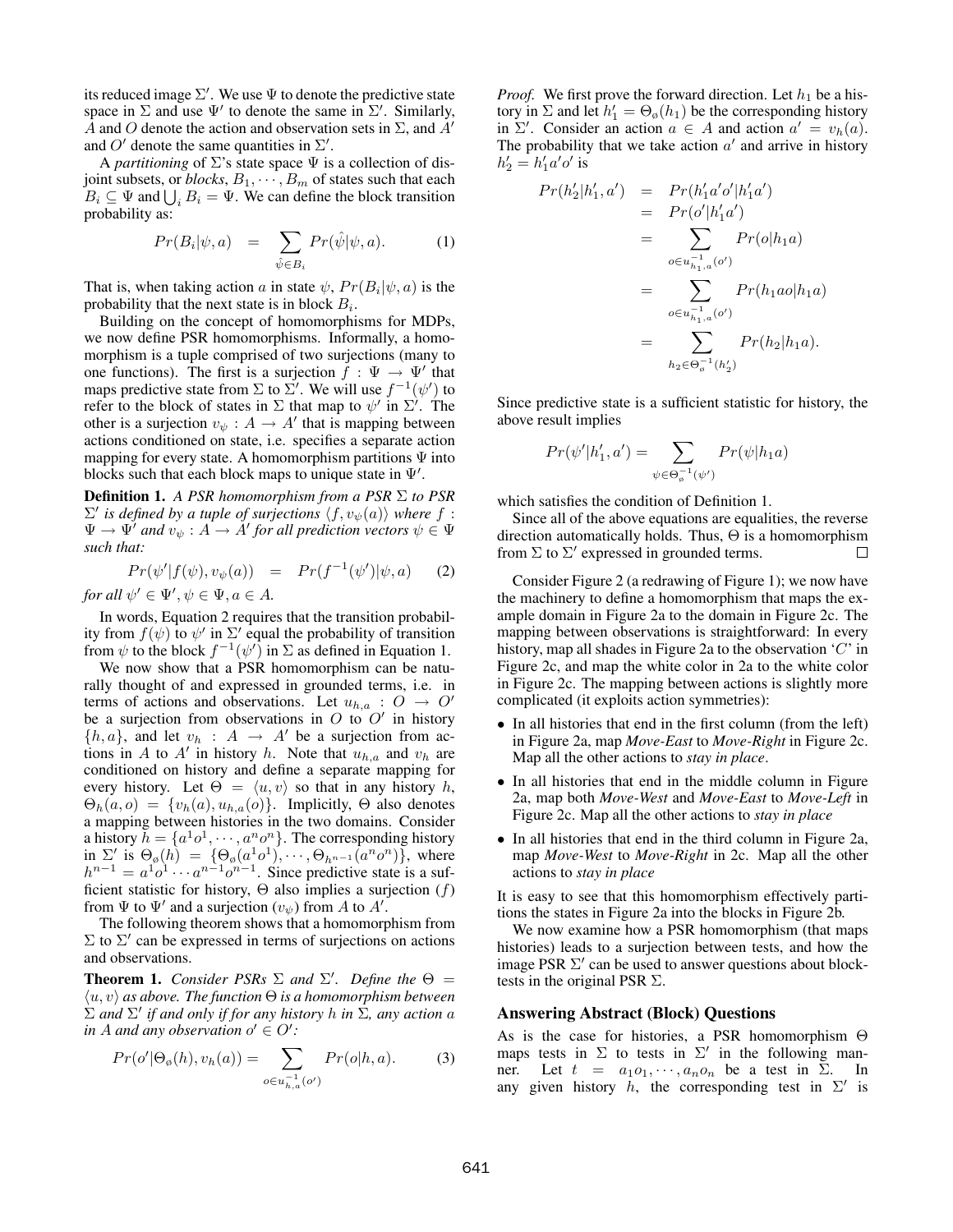its reduced image  $\Sigma'$ . We use  $\Psi$  to denote the predictive state space in  $\Sigma$  and use  $\Psi'$  to denote the same in  $\Sigma'$ . Similarly, A and O denote the action and observation sets in  $\Sigma$ , and  $A'$ and O' denote the same quantities in  $\Sigma'$ .

A *partitioning* of  $\Sigma$ 's state space  $\Psi$  is a collection of disjoint subsets, or  $blocks, B_1, \cdots, B_m$  of states such that each  $B_i \subseteq \Psi$  and  $\bigcup_i B_i = \Psi$ . We can define the block transition probability as:

$$
Pr(B_i|\psi, a) = \sum_{\hat{\psi} \in B_i} Pr(\hat{\psi}|\psi, a).
$$
 (1)

That is, when taking action a in state  $\psi$ ,  $Pr(B_i | \psi, a)$  is the probability that the next state is in block  $B_i$ .

Building on the concept of homomorphisms for MDPs, we now define PSR homomorphisms. Informally, a homomorphism is a tuple comprised of two surjections (many to one functions). The first is a surjection  $f : \Psi \to \Psi'$  that maps predictive state from  $\Sigma$  to  $\Sigma'$ . We will use  $f^{-1}(\psi')$  to refer to the block of states in  $\Sigma$  that map to  $\psi'$  in  $\Sigma'$ . The other is a surjection  $v_{\psi}: A \to A'$  that is mapping between actions conditioned on state, i.e. specifies a separate action mapping for every state. A homomorphism partitions  $\Psi$  into blocks such that each block maps to unique state in  $\Psi'$ .

Definition 1. *A PSR homomorphism from a PSR* Σ *to PSR*  $\Sigma'$  *is defined by a tuple of surjections*  $\langle f, v_{\psi}(a) \rangle$  *where*  $f$ .  $\Psi \to \Psi'$  and  $v_{\psi}: A \to A'$  for all prediction vectors  $\psi \in \Psi$ *such that:*

$$
Pr(\psi'|f(\psi), v_{\psi}(a)) = Pr(f^{-1}(\psi')|\psi, a)
$$
 (2)

*for all*  $\psi' \in \Psi', \psi \in \Psi, a \in A$ .

In words, Equation 2 requires that the transition probability from  $f(\psi)$  to  $\psi'$  in  $\Sigma'$  equal the probability of transition from  $\psi$  to the block  $f^{-1}(\psi')$  in  $\Sigma$  as defined in Equation 1.

We now show that a PSR homomorphism can be naturally thought of and expressed in grounded terms, i.e. in terms of actions and observations. Let  $u_{h,a}: O \to O'$ be a surjection from observations in  $O$  to  $O'$  in history  $\{h, a\}$ , and let  $v_h : A \to A'$  be a surjection from actions in A to A' in history h. Note that  $u_{h,a}$  and  $v_h$  are conditioned on history and define a separate mapping for every history. Let  $\Theta = \langle u, v \rangle$  so that in any history h,  $\Theta_h(a, o) = \{v_h(a), u_{h,a}(o)\}.$  Implicitly,  $\Theta$  also denotes a mapping between histories in the two domains. Consider a history  $\bar{h} = \{a^1o^1, \dots, a^no^n\}$ . The corresponding history in  $\Sigma'$  is  $\Theta_{\emptyset}(h) = \{\Theta_{\emptyset}(a^1o^1), \cdots, \Theta_{h^{n-1}}(a^n o^n)\},$  where  $h^{n-1} = a^1 o^1 \cdots a^{n-1} o^{n-1}$ . Since predictive state is a sufficient statistic for history,  $\Theta$  also implies a surjection  $(f)$ from  $\Psi$  to  $\Psi'$  and a surjection  $(v_{\psi})$  from A to A'.

The following theorem shows that a homomorphism from  $\Sigma$  to  $\Sigma'$  can be expressed in terms of surjections on actions and observations.

**Theorem 1.** *Consider PSRs*  $\Sigma$  *and*  $\Sigma'$ *. Define the*  $\Theta$  =  $\langle u, v \rangle$  *as above. The function*  $\Theta$  *is a homomorphism between*  $\Sigma$  and  $\Sigma'$  if and only if for any history h in  $\Sigma$ , any action a  $in A$  *and any observation*  $o' \in O'$ :

$$
Pr(o' | \Theta_{\emptyset}(h), v_h(a)) = \sum_{o \in u_{h,a}^{-1}(o')} Pr(o|h, a).
$$
 (3)

*Proof.* We first prove the forward direction. Let  $h_1$  be a history in  $\Sigma$  and let  $h'_1 = \Theta_{\emptyset}(h_1)$  be the corresponding history in  $\Sigma'$ . Consider an action  $a \in A$  and action  $a' = v_h(a)$ . The probability that we take action  $a'$  and arrive in history  $h'_2 = h'_1 a' o'$  is

$$
Pr(h'_2|h'_1, a') = Pr(h'_1a'o'|h'_1a')
$$
  
= 
$$
Pr(o'|h'_1a')
$$
  
= 
$$
\sum_{o \in u^{-1}_{h_1,a}(o')} Pr(o|h_1a)
$$
  
= 
$$
\sum_{o \in u^{-1}_{h_1,a}(o')} Pr(h_1ao|h_1a)
$$
  
= 
$$
\sum_{h_2 \in \Theta_o^{-1}(h'_2)} Pr(h_2|h_1a).
$$

Since predictive state is a sufficient statistic for history, the above result implies

$$
Pr(\psi'|h'_1, a') = \sum_{\psi \in \Theta_o^{-1}(\psi')} Pr(\psi|h_1 a)
$$

which satisfies the condition of Definition 1.

Since all of the above equations are equalities, the reverse direction automatically holds. Thus,  $\Theta$  is a homomorphism from  $\Sigma$  to  $\Sigma'$  expressed in grounded terms.  $\Box$ 

Consider Figure 2 (a redrawing of Figure 1); we now have the machinery to define a homomorphism that maps the example domain in Figure 2a to the domain in Figure 2c. The mapping between observations is straightforward: In every history, map all shades in Figure 2a to the observation 'C' in Figure 2c, and map the white color in 2a to the white color in Figure 2c. The mapping between actions is slightly more complicated (it exploits action symmetries):

- In all histories that end in the first column (from the left) in Figure 2a, map *Move-East* to *Move-Right* in Figure 2c. Map all the other actions to *stay in place*.
- In all histories that end in the middle column in Figure 2a, map both *Move-West* and *Move-East* to *Move-Left* in Figure 2c. Map all the other actions to *stay in place*
- In all histories that end in the third column in Figure 2a, map *Move-West* to *Move-Right* in 2c. Map all the other actions to *stay in place*

It is easy to see that this homomorphism effectively partitions the states in Figure 2a into the blocks in Figure 2b.

We now examine how a PSR homomorphism (that maps histories) leads to a surjection between tests, and how the image PSR  $\Sigma'$  can be used to answer questions about blocktests in the original PSR  $\Sigma$ .

### Answering Abstract (Block) Questions

As is the case for histories, a PSR homomorphism Θ maps tests in  $\Sigma$  to tests in  $\Sigma'$  in the following manner. Let  $t = a_1 o_1, \dots, a_n o_n$  be a test in  $\Sigma$ . In any given history h, the corresponding test in  $\Sigma'$  is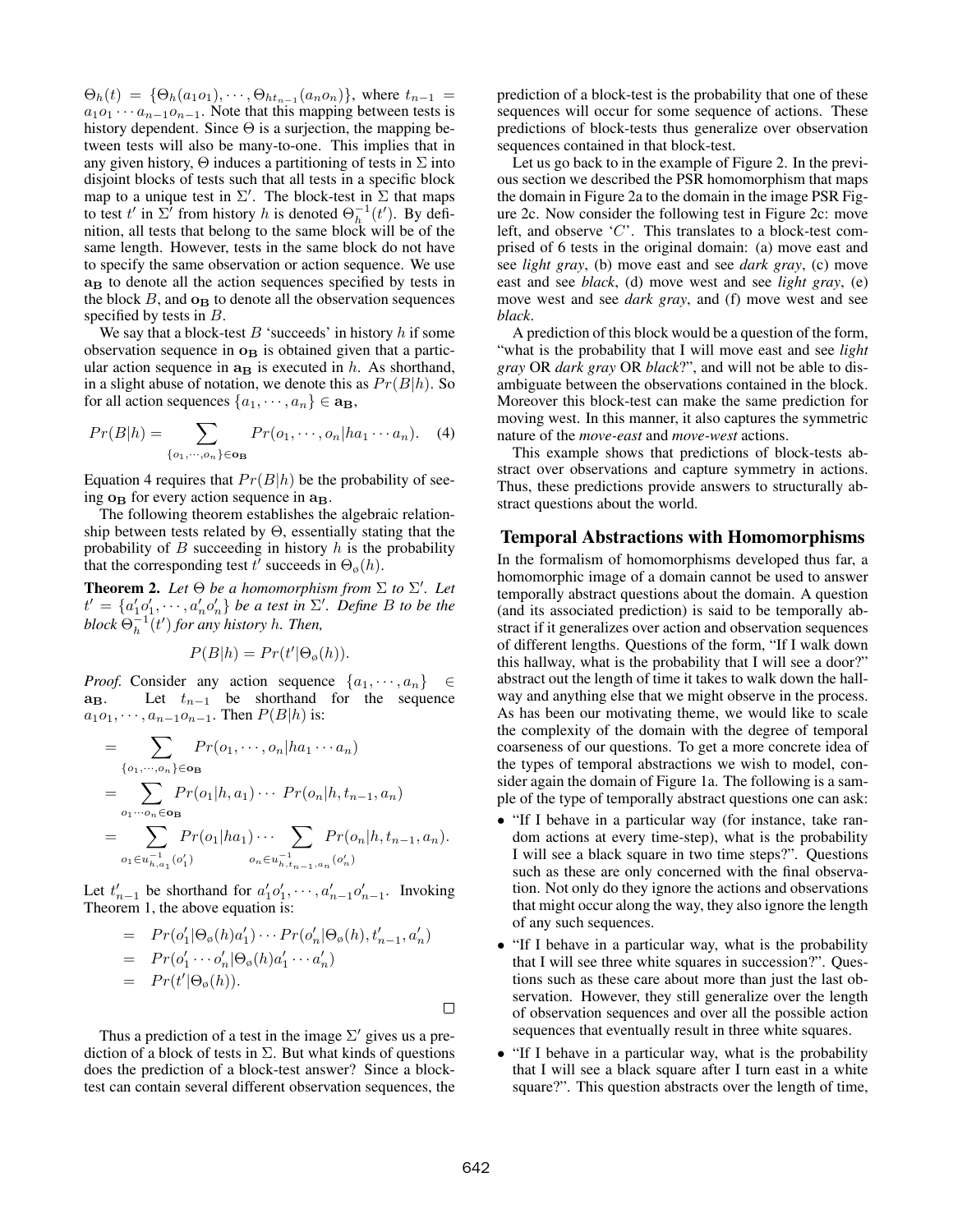$\Theta_h(t) = \{\Theta_h(a_1o_1), \cdots, \Theta_{ht_{n-1}}(a_n o_n)\},$  where  $t_{n-1}$  $a_1o_1 \cdots a_{n-1}o_{n-1}$ . Note that this mapping between tests is history dependent. Since  $\Theta$  is a surjection, the mapping between tests will also be many-to-one. This implies that in any given history,  $\Theta$  induces a partitioning of tests in  $\Sigma$  into disjoint blocks of tests such that all tests in a specific block map to a unique test in  $\Sigma'$ . The block-test in  $\Sigma$  that maps to test  $t'$  in  $\Sigma^i$  from history h is denoted  $\Theta_h^{-1}(t')$ . By definition, all tests that belong to the same block will be of the same length. However, tests in the same block do not have to specify the same observation or action sequence. We use **a<sup>B</sup>** to denote all the action sequences specified by tests in the block  $B$ , and  $\mathbf{o}_B$  to denote all the observation sequences specified by tests in B.

We say that a block-test  $B$  'succeeds' in history  $h$  if some observation sequence in **o<sup>B</sup>** is obtained given that a particular action sequence in  $a$ **B** is executed in h. As shorthand, in a slight abuse of notation, we denote this as  $Pr(B|h)$ . So for all action sequences  $\{a_1, \dots, a_n\} \in \mathbf{a}_\mathbf{B}$ ,

$$
Pr(B|h) = \sum_{\{o_1, \cdots, o_n\} \in \mathbf{O_B}} Pr(o_1, \cdots, o_n | ha_1 \cdots a_n).
$$
 (4)

Equation 4 requires that  $Pr(B|h)$  be the probability of seeing  $\mathbf{o}_B$  for every action sequence in  $\mathbf{a}_B$ .

The following theorem establishes the algebraic relationship between tests related by  $\Theta$ , essentially stating that the probability of  $B$  succeeding in history  $h$  is the probability that the corresponding test  $t'$  succeeds in  $\Theta_{\emptyset}(h)$ .

**Theorem 2.** Let  $\Theta$  be a homomorphism from  $\Sigma$  to  $\Sigma'$ . Let  $t' = \{a'_1o'_1, \dots, a'_no'_n\}$  be a test in  $\Sigma'$ . Define B to be the  $block \Theta_h^{-1}(t')$  *for any history h. Then,* 

$$
P(B|h) = Pr(t'|\Theta_{\emptyset}(h)).
$$

*Proof.* Consider any action sequence  $\{a_1, \dots, a_n\} \in$ <br>**a**<sub>B</sub>. Let  $t_{n-1}$  be shorthand for the sequence Let  $t_{n-1}$  be shorthand for the sequence  $a_1o_1, \dots, a_{n-1}o_{n-1}$ . Then  $P(B|h)$  is:

$$
= \sum_{\{o_1, \dots, o_n\} \in \mathbf{O}_B} Pr(o_1, \dots, o_n | ha_1 \dots a_n)
$$
  
= 
$$
\sum_{o_1 \dots o_n \in \mathbf{O}_B} Pr(o_1 | h, a_1) \dots Pr(o_n | h, t_{n-1}, a_n)
$$
  
= 
$$
\sum_{o_1 \in u_{h,a_1}^{-1}(o'_1)} Pr(o_1 | ha_1) \dots \sum_{o_n \in u_{h,t_{n-1},a_n}^{-1}(o'_n)} Pr(o_n | h, t_{n-1}, a_n).
$$

Let  $t'_{n-1}$  be shorthand for  $a'_1o'_1, \dots, a'_{n-1}o'_{n-1}$ . Invoking Theorem 1, the above equation is:

$$
= Pr(o'_1 | \Theta_{\emptyset}(h)a'_1) \cdots Pr(o'_n | \Theta_{\emptyset}(h), t'_{n-1}, a'_n)
$$
  
\n
$$
= Pr(o'_1 \cdots o'_n | \Theta_{\emptyset}(h)a'_1 \cdots a'_n)
$$
  
\n
$$
= Pr(t' | \Theta_{\emptyset}(h)).
$$

Thus a prediction of a test in the image  $\Sigma'$  gives us a prediction of a block of tests in  $\Sigma$ . But what kinds of questions does the prediction of a block-test answer? Since a blocktest can contain several different observation sequences, the prediction of a block-test is the probability that one of these sequences will occur for some sequence of actions. These predictions of block-tests thus generalize over observation sequences contained in that block-test.

Let us go back to in the example of Figure 2. In the previous section we described the PSR homomorphism that maps the domain in Figure 2a to the domain in the image PSR Figure 2c. Now consider the following test in Figure 2c: move left, and observe 'C'. This translates to a block-test comprised of 6 tests in the original domain: (a) move east and see *light gray*, (b) move east and see *dark gray*, (c) move east and see *black*, (d) move west and see *light gray*, (e) move west and see *dark gray*, and (f) move west and see *black*.

A prediction of this block would be a question of the form, "what is the probability that I will move east and see *light gray* OR *dark gray* OR *black*?", and will not be able to disambiguate between the observations contained in the block. Moreover this block-test can make the same prediction for moving west. In this manner, it also captures the symmetric nature of the *move-east* and *move-west* actions.

This example shows that predictions of block-tests abstract over observations and capture symmetry in actions. Thus, these predictions provide answers to structurally abstract questions about the world.

# Temporal Abstractions with Homomorphisms

In the formalism of homomorphisms developed thus far, a homomorphic image of a domain cannot be used to answer temporally abstract questions about the domain. A question (and its associated prediction) is said to be temporally abstract if it generalizes over action and observation sequences of different lengths. Questions of the form, "If I walk down this hallway, what is the probability that I will see a door?" abstract out the length of time it takes to walk down the hallway and anything else that we might observe in the process. As has been our motivating theme, we would like to scale the complexity of the domain with the degree of temporal coarseness of our questions. To get a more concrete idea of the types of temporal abstractions we wish to model, consider again the domain of Figure 1a. The following is a sample of the type of temporally abstract questions one can ask:

- "If I behave in a particular way (for instance, take random actions at every time-step), what is the probability I will see a black square in two time steps?". Questions such as these are only concerned with the final observation. Not only do they ignore the actions and observations that might occur along the way, they also ignore the length of any such sequences.
- "If I behave in a particular way, what is the probability that I will see three white squares in succession?". Questions such as these care about more than just the last observation. However, they still generalize over the length of observation sequences and over all the possible action sequences that eventually result in three white squares.
- "If I behave in a particular way, what is the probability that I will see a black square after I turn east in a white square?". This question abstracts over the length of time,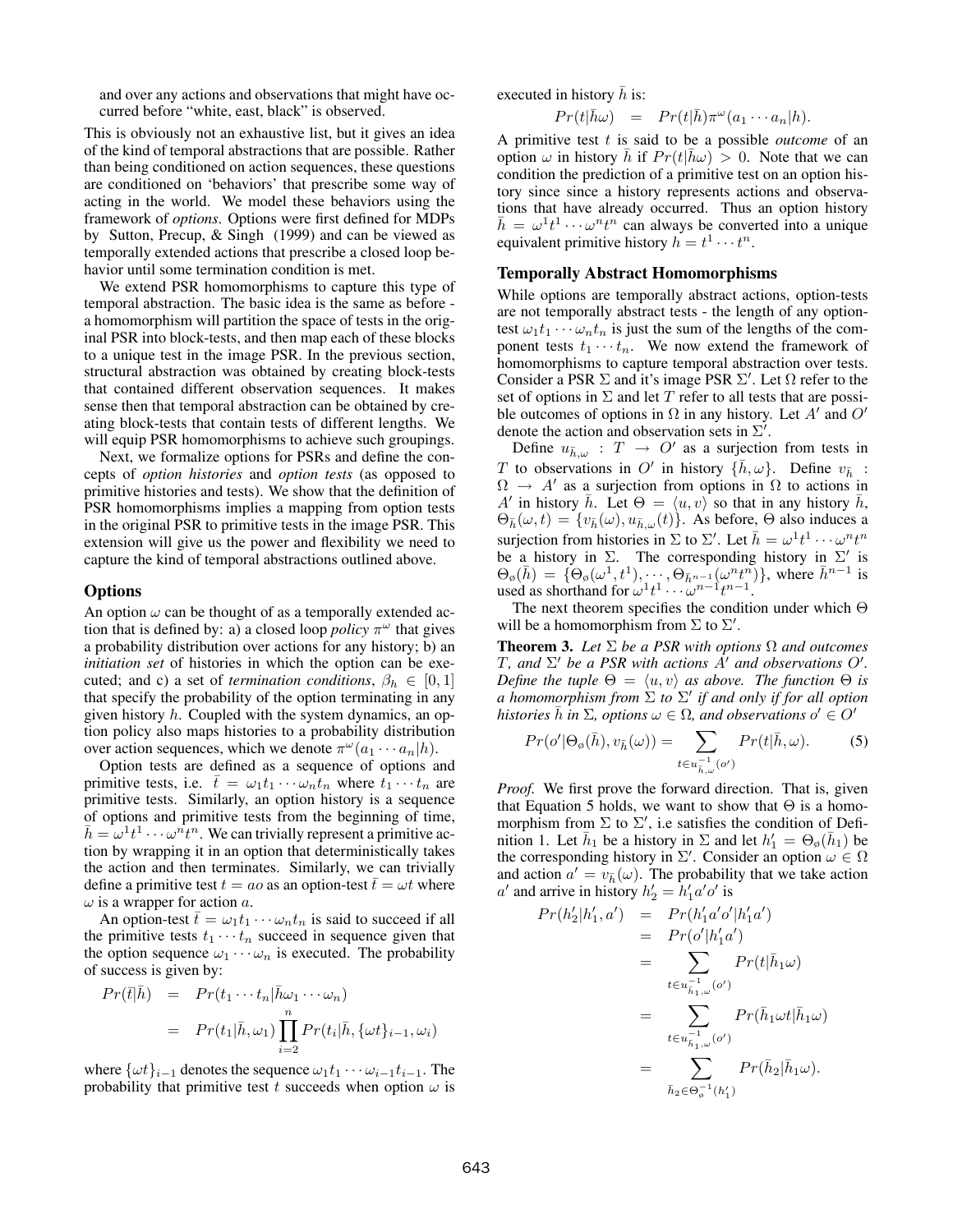and over any actions and observations that might have occurred before "white, east, black" is observed.

This is obviously not an exhaustive list, but it gives an idea of the kind of temporal abstractions that are possible. Rather than being conditioned on action sequences, these questions are conditioned on 'behaviors' that prescribe some way of acting in the world. We model these behaviors using the framework of *options*. Options were first defined for MDPs by Sutton, Precup, & Singh (1999) and can be viewed as temporally extended actions that prescribe a closed loop behavior until some termination condition is met.

We extend PSR homomorphisms to capture this type of temporal abstraction. The basic idea is the same as before a homomorphism will partition the space of tests in the original PSR into block-tests, and then map each of these blocks to a unique test in the image PSR. In the previous section, structural abstraction was obtained by creating block-tests that contained different observation sequences. It makes sense then that temporal abstraction can be obtained by creating block-tests that contain tests of different lengths. We will equip PSR homomorphisms to achieve such groupings.

Next, we formalize options for PSRs and define the concepts of *option histories* and *option tests* (as opposed to primitive histories and tests). We show that the definition of PSR homomorphisms implies a mapping from option tests in the original PSR to primitive tests in the image PSR. This extension will give us the power and flexibility we need to capture the kind of temporal abstractions outlined above.

### **Options**

An option  $\omega$  can be thought of as a temporally extended action that is defined by: a) a closed loop *policy*  $\pi^{\omega}$  that gives a probability distribution over actions for any history; b) an *initiation set* of histories in which the option can be executed; and c) a set of *termination conditions*,  $\beta_h \in [0, 1]$ that specify the probability of the option terminating in any given history  $h$ . Coupled with the system dynamics, an option policy also maps histories to a probability distribution over action sequences, which we denote  $\pi^{\omega}(a_1 \cdots a_n|h)$ .

Option tests are defined as a sequence of options and primitive tests, i.e.  $\bar{t} = \omega_1 t_1 \cdots \omega_n t_n$  where  $t_1 \cdots t_n$  are primitive tests. Similarly, an option history is a sequence of options and primitive tests from the beginning of time,  $\bar{h} = \omega^1 t^1 \cdots \omega^n t^n$ . We can trivially represent a primitive action by wrapping it in an option that deterministically takes the action and then terminates. Similarly, we can trivially define a primitive test  $t = a_0$  as an option-test  $\bar{t} = \omega t$  where  $\omega$  is a wrapper for action a.

An option-test  $\bar{t} = \omega_1 t_1 \cdots \omega_n t_n$  is said to succeed if all the primitive tests  $t_1 \cdots t_n$  succeed in sequence given that the option sequence  $\omega_1 \cdots \omega_n$  is executed. The probability of success is given by:

$$
Pr(\bar{t}|\bar{h}) = Pr(t_1 \cdots t_n | \bar{h}\omega_1 \cdots \omega_n)
$$
  
= 
$$
Pr(t_1|\bar{h}, \omega_1) \prod_{i=2}^n Pr(t_i|\bar{h}, {\{\omega t\}}_{i-1}, \omega_i)
$$

where  $\{\omega t\}_{i=1}$  denotes the sequence  $\omega_1 t_1 \cdots \omega_{i-1} t_{i-1}$ . The probability that primitive test t succeeds when option  $\omega$  is executed in history  $\bar{h}$  is:

$$
Pr(t|\bar{h}\omega) = Pr(t|\bar{h})\pi^{\omega}(a_1 \cdots a_n|h).
$$

A primitive test t is said to be a possible *outcome* of an option  $\omega$  in history  $\bar{h}$  if  $Pr(t|\bar{h}\omega) > 0$ . Note that we can condition the prediction of a primitive test on an option history since since a history represents actions and observations that have already occurred. Thus an option history  $\bar{h} = \omega^1 t^1 \cdots \omega^n t^n$  can always be converted into a unique equivalent primitive history  $h = t^1 \cdots t^n$ .

### Temporally Abstract Homomorphisms

While options are temporally abstract actions, option-tests are not temporally abstract tests - the length of any optiontest  $\omega_1 t_1 \cdots \omega_n t_n$  is just the sum of the lengths of the component tests  $t_1 \cdots t_n$ . We now extend the framework of homomorphisms to capture temporal abstraction over tests. Consider a PSR  $\Sigma$  and it's image PSR  $\Sigma'$ . Let  $\Omega$  refer to the set of options in  $\Sigma$  and let T refer to all tests that are possible outcomes of options in  $\Omega$  in any history. Let A' and O' denote the action and observation sets in  $\Sigma'$ .

Define  $u_{\bar{h},\omega}$  :  $T \rightarrow O'$  as a surjection from tests in T to observations in O' in history  $\{\bar{h}, \omega\}$ . Define  $v_{\bar{h}}$ :  $\Omega \to A'$  as a surjection from options in  $\Omega$  to actions in A' in history  $\bar{h}$ . Let  $\Theta = \langle u, v \rangle$  so that in any history  $\bar{h}$ ,  $\Theta_{\bar{h}}(\omega, t) = \{v_{\bar{h}}(\omega), u_{\bar{h},\omega}(t)\}\.$  As before,  $\Theta$  also induces a surjection from histories in  $\Sigma$  to  $\Sigma'$ . Let  $\bar{h} = \omega^1 t^1 \cdots \omega^n t^n$ be a history in  $\Sigma$ . The corresponding history in  $\Sigma'$  is  $\Theta_{\emptyset}(\bar{h}) = \{ \Theta_{\emptyset}(\omega^1, t^1), \dots, \Theta_{\bar{h}^{n-1}}(\omega^n t^n) \},$  where  $\bar{h}^{n-1}$  is used as shorthand for  $\omega^1 t^1 \cdots \omega^{n-1} t^{n-1}$ .

The next theorem specifies the condition under which  $\Theta$ will be a homomorphism from  $\Sigma$  to  $\Sigma'$ .

**Theorem 3.** *Let*  $\Sigma$  *be a PSR with options*  $\Omega$  *and outcomes* T, and  $\Sigma'$  be a PSR with actions  $A'$  and observations  $O'$ . *Define the tuple*  $\Theta = \langle u, v \rangle$  *as above. The function*  $\Theta$  *is a homomorphism from*  $\Sigma$  *to*  $\Sigma'$  *if and only if for all option histories*  $\bar{h}$  *in*  $\Sigma$ *, options*  $\omega \in \Omega$ *, and observations*  $o' \in O'$ 

$$
Pr(o' | \Theta_{\varphi}(\bar{h}), v_{\bar{h}}(\omega)) = \sum_{t \in u_{\bar{h},\omega}^{-1}(o')} Pr(t | \bar{h}, \omega).
$$
 (5)

*Proof.* We first prove the forward direction. That is, given that Equation 5 holds, we want to show that  $\Theta$  is a homomorphism from  $\Sigma$  to  $\Sigma'$ , i.e satisfies the condition of Definition 1. Let  $\bar{h}_1$  be a history in  $\Sigma$  and let  $h'_1 = \Theta_{\emptyset}(\bar{h}_1)$  be the corresponding history in  $\Sigma'$ . Consider an option  $\omega \in \Omega$ and action  $a' = v_{\bar{h}}(\omega)$ . The probability that we take action  $a'$  and arrive in history  $h'_2 = h'_1 a' o'$  is

$$
Pr(h'_2|h'_1, a') = Pr(h'_1a'o'|h'_1a')
$$
  
= 
$$
Pr(o'|h'_1a')
$$
  
= 
$$
\sum_{t \in u_{\bar{h}_1,\omega}^{-1}(o')} Pr(t|\bar{h}_1\omega)
$$
  
= 
$$
\sum_{t \in u_{\bar{h}_1,\omega}^{-1}(o')} Pr(\bar{h}_1\omega t|\bar{h}_1\omega)
$$
  
= 
$$
\sum_{\bar{h}_2 \in \Theta_o^{-1}(h'_1)} Pr(\bar{h}_2|\bar{h}_1\omega).
$$